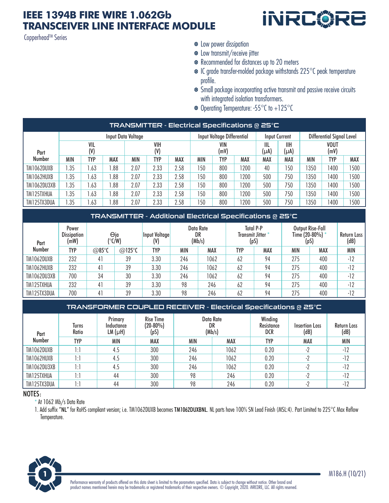### **IEEE 1394B FIRE WIRE 1.062Gb TRANSCEIVER LINE INTERFACE MODULE**

Copperhead™ Series



- $\bullet$  Low power dissipation
- Low transmit/receive jitter
- Recommended for distances up to 20 meters
- IC grade transfer-molded package withstands 225°C peak temperature profile.
- Small package incorporating active transmit and passive receive circuits with integrated isolation transformers.
- Operating Temperature: -55°C to +125°C

| TRANSMITTER - Electrical Specifications @ 25°C |                    |            |            |            |            |      |                            |            |     |               |                    |                           |            |     |
|------------------------------------------------|--------------------|------------|------------|------------|------------|------|----------------------------|------------|-----|---------------|--------------------|---------------------------|------------|-----|
|                                                | Input Data Voltage |            |            |            |            |      | Input Voltage Differential |            |     | Input Current |                    | Differential Signal Level |            |     |
| Part                                           | VIL<br>(V)         |            |            | VIH<br>(V) |            |      | VIN<br>(mV)                |            |     | IIL<br>(µA)   | <b>IIH</b><br>(µA) | VOUT<br>(mV)              |            |     |
| Number                                         | MIN                | <b>TYP</b> | <b>MAX</b> | <b>MIN</b> | <b>TYP</b> | MAX  | <b>MIN</b>                 | <b>TYP</b> | MAX | MAX           | MAX                | <b>MIN</b>                | <b>TYP</b> | MAX |
| TM1062DUXB                                     | .35                | .63        | .88        | 2.07       | 2.33       | 2.58 | 150                        | 800        | 200 | 40            | 150                | 1350                      | 1400       | 500 |
| TM1062HUXB                                     | .35                | .63        | .88        | 2.07       | 2.33       | 2.58 | 150                        | 800        | 200 | 500           | 750                | 1350                      | 1400       | 500 |
| TM1062DU3XB                                    | .35                | .63        | .88        | 2.07       | 2.33       | 2.58 | 150                        | 800        | 200 | 500           | 750                | 1350                      | 1400       | 500 |
| TM125TXHUA                                     | .35                | .63        | .88        | 2.07       | 2.33       | 2.58 | 150                        | 800        | 200 | 500           | 750                | 1350                      | 1400       | 500 |
| TM125TX3DUA                                    | .35                | .63        | .88        | 2.07       | 2.33       | 2.58 | 150                        | 800        | 200 | 500           | 750                | 1350                      | 1400       | 500 |

#### TRANSMITTER - Additional Electrical Specifications @ 25°C

| Part        | Power<br><b>Dissipation</b><br>(mW) | Θjα<br>(°C/W) |                  | Input Voltage<br>(V) | Data Rate<br>DR<br>(Mb/s) |      | <b>Total P-P</b><br>Transmit Jitter *<br>(pS) |     | Output Rise-Fall<br>Time (20-80%) *<br>(pS |     | Return Loss<br>(dB) |
|-------------|-------------------------------------|---------------|------------------|----------------------|---------------------------|------|-----------------------------------------------|-----|--------------------------------------------|-----|---------------------|
| Number      | TYP                                 | @85°C         | @125 $\degree$ C | TYP                  | MIN                       | MAX  | TYP                                           | MAX | MIN                                        | MAX | <b>MIN</b>          |
| TM1062DUXB  | 232                                 | 41            | 39               | 3.30                 | 246                       | 1062 | 62                                            | 94  | 275                                        | 400 | $-12$               |
| TM1062HUXB  | 232                                 | 41            | 39               | 3.30                 | 246                       | 1062 | 62                                            | 94  | 275                                        | 400 | $-12$               |
| TM1062DU3XB | 700                                 | 34            | 30               | 3.30                 | 246                       | 1062 | 62                                            | 94  | 275                                        | 400 | $-12$               |
| TM125TXHUA  | 232                                 | 41            | 39               | 3.30                 | 98                        | 246  | 62                                            | 94  | 275                                        | 400 | $-12$               |
| TM125TX3DUA | 700                                 | 41            | 39               | 3.30                 | 98                        | 246  | 62                                            | 94  | 275                                        | 400 | $-12$               |

#### TRANSFORMER COUPLED RECEIVER - Electrical Specifications @ 25°C

| Part        | <b>Turns</b><br><b>Ratio</b> | Primary<br>Inductance<br>LM (µH) | <b>Rise Time</b><br>$(20-80%)$<br>(pS) | Data Rate<br>DR<br>(Mb/s) |      | Winding<br>Resistance<br>DCR | <b>Insertion Loss</b><br>(dB) | <b>Return Loss</b><br>(dB) |  |
|-------------|------------------------------|----------------------------------|----------------------------------------|---------------------------|------|------------------------------|-------------------------------|----------------------------|--|
| Number      | <b>TYP</b>                   | MIN                              | <b>MAX</b>                             | <b>MIN</b>                | MAX  | <b>TYP</b>                   | <b>MAX</b>                    | <b>MIN</b>                 |  |
| TM1062DUXB  | l:1                          | 4.5                              | 300                                    | 246                       | 1062 | 0.20                         | -7                            | $-12$                      |  |
| TM1062HUXB  | 1:1                          | 4.5                              | 300                                    | 246                       | 1062 | 0.20                         | C                             | $-12$                      |  |
| TM1062DU3XB | 1:1                          | 4.5                              | 300                                    | 246                       | 1062 | 0.20                         | - 2                           | $-12$                      |  |
| TM125TXHUA  | l:1                          | 44                               | 300                                    | 98                        | 246  | 0.20                         | - 2                           | $-12$                      |  |
| TM125TX3DUA | 1:1                          | 44                               | 300                                    | 98                        | 246  | 0.20                         | $\overline{\phantom{a}}$      | $-12$                      |  |

#### NOTES:

At 1062 Mb/s Data Rate

1. Add suffix "NL" for RoHS compliant version; i.e. TM1062DUXB becomes TM1062DUXBNL. NL parts have 100% SN Lead Finish (MSL:4). Part Limited to 225°C Max Reflow Temperature.

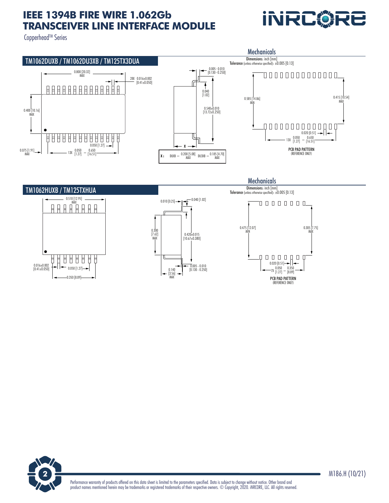# **IEEE 1394B FIRE WIRE 1.062Gb TRANSCEIVER LINE INTERFACE MODULE**

Copperhead™ Series





**2** M186.H (10/21)